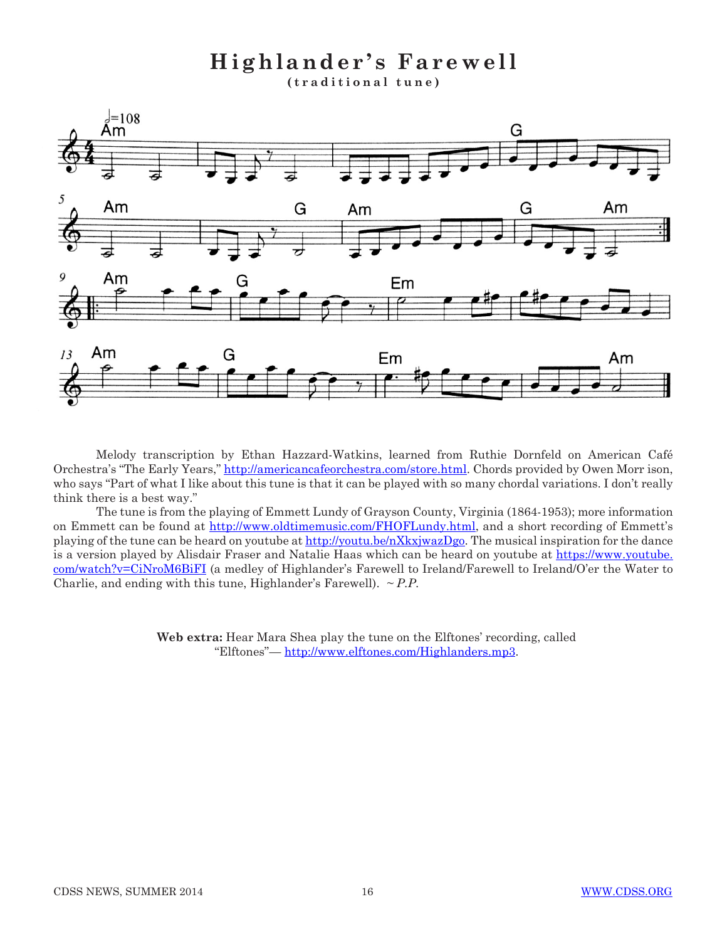**Highlander's Farewell (traditional tune)**



Melody transcription by Ethan Hazzard-Watkins, learned from Ruthie Dornfeld on American Café Orchestra's "The Early Years," http://americancafeorchestra.com/store.html. Chords provided by Owen Morr ison, who says "Part of what I like about this tune is that it can be played with so many chordal variations. I don't really think there is a best way."

The tune is from the playing of Emmett Lundy of Grayson County, Virginia (1864-1953); more information on Emmett can be found at http://www.oldtimemusic.com/FHOFLundy.html, and a short recording of Emmett's playing of the tune can be heard on youtube at http://youtu.be/nXkxjwazDgo. The musical inspiration for the dance is a version played by Alisdair Fraser and Natalie Haas which can be heard on youtube at https://www.youtube. com/watch?v=CiNroM6BiFI (a medley of Highlander's Farewell to Ireland/Farewell to Ireland/O'er the Water to Charlie, and ending with this tune, Highlander's Farewell). *~ P.P.*

> **Web extra:** Hear Mara Shea play the tune on the Elftones' recording, called "Elftones"— http://www.elftones.com/Highlanders.mp3.